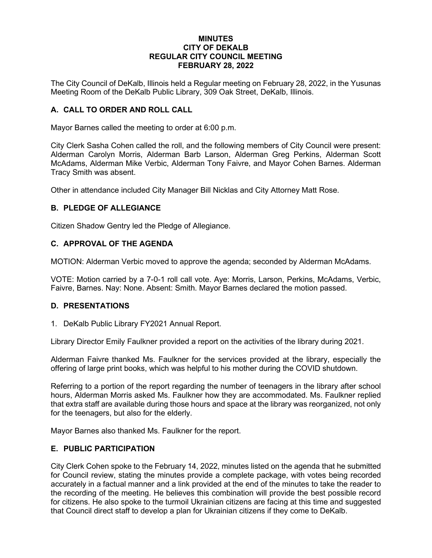### **MINUTES CITY OF DEKALB REGULAR CITY COUNCIL MEETING FEBRUARY 28, 2022**

The City Council of DeKalb, Illinois held a Regular meeting on February 28, 2022, in the Yusunas Meeting Room of the DeKalb Public Library, 309 Oak Street, DeKalb, Illinois.

## **A. CALL TO ORDER AND ROLL CALL**

Mayor Barnes called the meeting to order at 6:00 p.m.

City Clerk Sasha Cohen called the roll, and the following members of City Council were present: Alderman Carolyn Morris, Alderman Barb Larson, Alderman Greg Perkins, Alderman Scott McAdams, Alderman Mike Verbic, Alderman Tony Faivre, and Mayor Cohen Barnes. Alderman Tracy Smith was absent.

Other in attendance included City Manager Bill Nicklas and City Attorney Matt Rose.

#### **B. PLEDGE OF ALLEGIANCE**

Citizen Shadow Gentry led the Pledge of Allegiance.

#### **C. APPROVAL OF THE AGENDA**

MOTION: Alderman Verbic moved to approve the agenda; seconded by Alderman McAdams.

VOTE: Motion carried by a 7-0-1 roll call vote. Aye: Morris, Larson, Perkins, McAdams, Verbic, Faivre, Barnes. Nay: None. Absent: Smith. Mayor Barnes declared the motion passed.

#### **D. PRESENTATIONS**

1. DeKalb Public Library FY2021 Annual Report.

Library Director Emily Faulkner provided a report on the activities of the library during 2021.

Alderman Faivre thanked Ms. Faulkner for the services provided at the library, especially the offering of large print books, which was helpful to his mother during the COVID shutdown.

Referring to a portion of the report regarding the number of teenagers in the library after school hours, Alderman Morris asked Ms. Faulkner how they are accommodated. Ms. Faulkner replied that extra staff are available during those hours and space at the library was reorganized, not only for the teenagers, but also for the elderly.

Mayor Barnes also thanked Ms. Faulkner for the report.

#### **E. PUBLIC PARTICIPATION**

City Clerk Cohen spoke to the February 14, 2022, minutes listed on the agenda that he submitted for Council review, stating the minutes provide a complete package, with votes being recorded accurately in a factual manner and a link provided at the end of the minutes to take the reader to the recording of the meeting. He believes this combination will provide the best possible record for citizens. He also spoke to the turmoil Ukrainian citizens are facing at this time and suggested that Council direct staff to develop a plan for Ukrainian citizens if they come to DeKalb.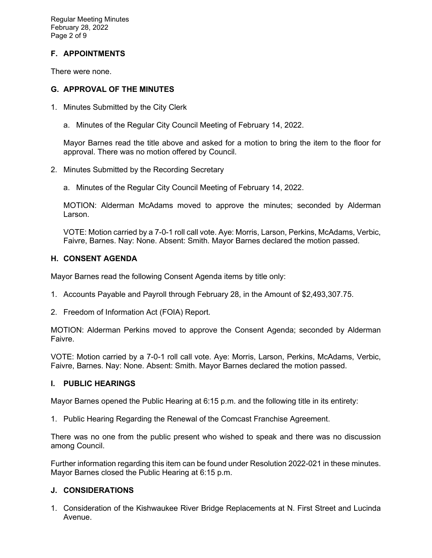Regular Meeting Minutes February 28, 2022 Page 2 of 9

# **F. APPOINTMENTS**

There were none.

### **G. APPROVAL OF THE MINUTES**

- 1. Minutes Submitted by the City Clerk
	- a. Minutes of the Regular City Council Meeting of February 14, 2022.

Mayor Barnes read the title above and asked for a motion to bring the item to the floor for approval. There was no motion offered by Council.

- 2. Minutes Submitted by the Recording Secretary
	- a. Minutes of the Regular City Council Meeting of February 14, 2022.

MOTION: Alderman McAdams moved to approve the minutes; seconded by Alderman Larson.

VOTE: Motion carried by a 7-0-1 roll call vote. Aye: Morris, Larson, Perkins, McAdams, Verbic, Faivre, Barnes. Nay: None. Absent: Smith. Mayor Barnes declared the motion passed.

## **H. CONSENT AGENDA**

Mayor Barnes read the following Consent Agenda items by title only:

- 1. Accounts Payable and Payroll through February 28, in the Amount of \$2,493,307.75.
- 2. Freedom of Information Act (FOIA) Report.

MOTION: Alderman Perkins moved to approve the Consent Agenda; seconded by Alderman Faivre.

VOTE: Motion carried by a 7-0-1 roll call vote. Aye: Morris, Larson, Perkins, McAdams, Verbic, Faivre, Barnes. Nay: None. Absent: Smith. Mayor Barnes declared the motion passed.

#### **I. PUBLIC HEARINGS**

Mayor Barnes opened the Public Hearing at 6:15 p.m. and the following title in its entirety:

1. Public Hearing Regarding the Renewal of the Comcast Franchise Agreement.

There was no one from the public present who wished to speak and there was no discussion among Council.

Further information regarding this item can be found under Resolution 2022-021 in these minutes. Mayor Barnes closed the Public Hearing at 6:15 p.m.

## **J. CONSIDERATIONS**

1. Consideration of the Kishwaukee River Bridge Replacements at N. First Street and Lucinda Avenue.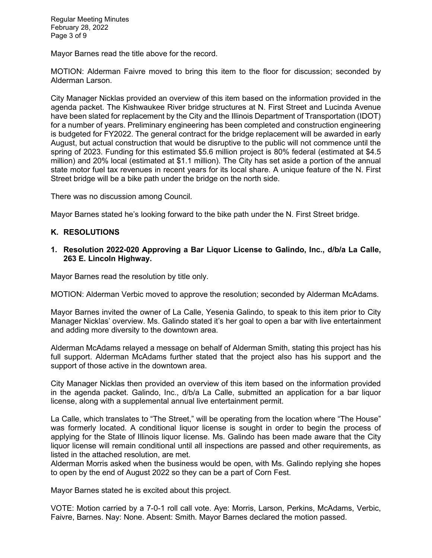Regular Meeting Minutes February 28, 2022 Page 3 of 9

Mayor Barnes read the title above for the record.

MOTION: Alderman Faivre moved to bring this item to the floor for discussion; seconded by Alderman Larson.

City Manager Nicklas provided an overview of this item based on the information provided in the agenda packet. The Kishwaukee River bridge structures at N. First Street and Lucinda Avenue have been slated for replacement by the City and the Illinois Department of Transportation (IDOT) for a number of years. Preliminary engineering has been completed and construction engineering is budgeted for FY2022. The general contract for the bridge replacement will be awarded in early August, but actual construction that would be disruptive to the public will not commence until the spring of 2023. Funding for this estimated \$5.6 million project is 80% federal (estimated at \$4.5 million) and 20% local (estimated at \$1.1 million). The City has set aside a portion of the annual state motor fuel tax revenues in recent years for its local share. A unique feature of the N. First Street bridge will be a bike path under the bridge on the north side.

There was no discussion among Council.

Mayor Barnes stated he's looking forward to the bike path under the N. First Street bridge.

### **K. RESOLUTIONS**

### **1. Resolution 2022-020 Approving a Bar Liquor License to Galindo, Inc., d/b/a La Calle, 263 E. Lincoln Highway.**

Mayor Barnes read the resolution by title only.

MOTION: Alderman Verbic moved to approve the resolution; seconded by Alderman McAdams.

Mayor Barnes invited the owner of La Calle, Yesenia Galindo, to speak to this item prior to City Manager Nicklas' overview. Ms. Galindo stated it's her goal to open a bar with live entertainment and adding more diversity to the downtown area.

Alderman McAdams relayed a message on behalf of Alderman Smith, stating this project has his full support. Alderman McAdams further stated that the project also has his support and the support of those active in the downtown area.

City Manager Nicklas then provided an overview of this item based on the information provided in the agenda packet. Galindo, Inc., d/b/a La Calle, submitted an application for a bar liquor license, along with a supplemental annual live entertainment permit.

La Calle, which translates to "The Street," will be operating from the location where "The House" was formerly located. A conditional liquor license is sought in order to begin the process of applying for the State of Illinois liquor license. Ms. Galindo has been made aware that the City liquor license will remain conditional until all inspections are passed and other requirements, as listed in the attached resolution, are met.

Alderman Morris asked when the business would be open, with Ms. Galindo replying she hopes to open by the end of August 2022 so they can be a part of Corn Fest.

Mayor Barnes stated he is excited about this project.

VOTE: Motion carried by a 7-0-1 roll call vote. Aye: Morris, Larson, Perkins, McAdams, Verbic, Faivre, Barnes. Nay: None. Absent: Smith. Mayor Barnes declared the motion passed.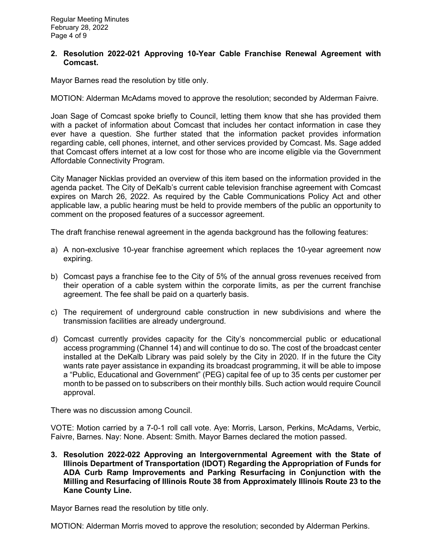### **2. Resolution 2022-021 Approving 10-Year Cable Franchise Renewal Agreement with Comcast.**

Mayor Barnes read the resolution by title only.

MOTION: Alderman McAdams moved to approve the resolution; seconded by Alderman Faivre.

Joan Sage of Comcast spoke briefly to Council, letting them know that she has provided them with a packet of information about Comcast that includes her contact information in case they ever have a question. She further stated that the information packet provides information regarding cable, cell phones, internet, and other services provided by Comcast. Ms. Sage added that Comcast offers internet at a low cost for those who are income eligible via the Government Affordable Connectivity Program.

City Manager Nicklas provided an overview of this item based on the information provided in the agenda packet. The City of DeKalb's current cable television franchise agreement with Comcast expires on March 26, 2022. As required by the Cable Communications Policy Act and other applicable law, a public hearing must be held to provide members of the public an opportunity to comment on the proposed features of a successor agreement.

The draft franchise renewal agreement in the agenda background has the following features:

- a) A non-exclusive 10-year franchise agreement which replaces the 10-year agreement now expiring.
- b) Comcast pays a franchise fee to the City of 5% of the annual gross revenues received from their operation of a cable system within the corporate limits, as per the current franchise agreement. The fee shall be paid on a quarterly basis.
- c) The requirement of underground cable construction in new subdivisions and where the transmission facilities are already underground.
- d) Comcast currently provides capacity for the City's noncommercial public or educational access programming (Channel 14) and will continue to do so. The cost of the broadcast center installed at the DeKalb Library was paid solely by the City in 2020. If in the future the City wants rate payer assistance in expanding its broadcast programming, it will be able to impose a "Public, Educational and Government" (PEG) capital fee of up to 35 cents per customer per month to be passed on to subscribers on their monthly bills. Such action would require Council approval.

There was no discussion among Council.

VOTE: Motion carried by a 7-0-1 roll call vote. Aye: Morris, Larson, Perkins, McAdams, Verbic, Faivre, Barnes. Nay: None. Absent: Smith. Mayor Barnes declared the motion passed.

**3. Resolution 2022-022 Approving an Intergovernmental Agreement with the State of Illinois Department of Transportation (IDOT) Regarding the Appropriation of Funds for ADA Curb Ramp Improvements and Parking Resurfacing in Conjunction with the Milling and Resurfacing of Illinois Route 38 from Approximately Illinois Route 23 to the Kane County Line.**

Mayor Barnes read the resolution by title only.

MOTION: Alderman Morris moved to approve the resolution; seconded by Alderman Perkins.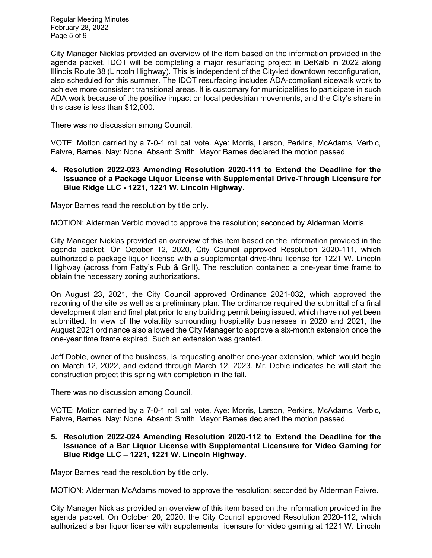Regular Meeting Minutes February 28, 2022 Page 5 of 9

City Manager Nicklas provided an overview of the item based on the information provided in the agenda packet. IDOT will be completing a major resurfacing project in DeKalb in 2022 along Illinois Route 38 (Lincoln Highway). This is independent of the City-led downtown reconfiguration, also scheduled for this summer. The IDOT resurfacing includes ADA-compliant sidewalk work to achieve more consistent transitional areas. It is customary for municipalities to participate in such ADA work because of the positive impact on local pedestrian movements, and the City's share in this case is less than \$12,000.

There was no discussion among Council.

VOTE: Motion carried by a 7-0-1 roll call vote. Aye: Morris, Larson, Perkins, McAdams, Verbic, Faivre, Barnes. Nay: None. Absent: Smith. Mayor Barnes declared the motion passed.

### **4. Resolution 2022-023 Amending Resolution 2020-111 to Extend the Deadline for the Issuance of a Package Liquor License with Supplemental Drive-Through Licensure for Blue Ridge LLC - 1221, 1221 W. Lincoln Highway.**

Mayor Barnes read the resolution by title only.

MOTION: Alderman Verbic moved to approve the resolution; seconded by Alderman Morris.

City Manager Nicklas provided an overview of this item based on the information provided in the agenda packet. On October 12, 2020, City Council approved Resolution 2020-111, which authorized a package liquor license with a supplemental drive-thru license for 1221 W. Lincoln Highway (across from Fatty's Pub & Grill). The resolution contained a one-year time frame to obtain the necessary zoning authorizations.

On August 23, 2021, the City Council approved Ordinance 2021-032, which approved the rezoning of the site as well as a preliminary plan. The ordinance required the submittal of a final development plan and final plat prior to any building permit being issued, which have not yet been submitted. In view of the volatility surrounding hospitality businesses in 2020 and 2021, the August 2021 ordinance also allowed the City Manager to approve a six-month extension once the one-year time frame expired. Such an extension was granted.

Jeff Dobie, owner of the business, is requesting another one-year extension, which would begin on March 12, 2022, and extend through March 12, 2023. Mr. Dobie indicates he will start the construction project this spring with completion in the fall.

There was no discussion among Council.

VOTE: Motion carried by a 7-0-1 roll call vote. Aye: Morris, Larson, Perkins, McAdams, Verbic, Faivre, Barnes. Nay: None. Absent: Smith. Mayor Barnes declared the motion passed.

## **5. Resolution 2022-024 Amending Resolution 2020-112 to Extend the Deadline for the Issuance of a Bar Liquor License with Supplemental Licensure for Video Gaming for Blue Ridge LLC – 1221, 1221 W. Lincoln Highway.**

Mayor Barnes read the resolution by title only.

MOTION: Alderman McAdams moved to approve the resolution; seconded by Alderman Faivre.

City Manager Nicklas provided an overview of this item based on the information provided in the agenda packet. On October 20, 2020, the City Council approved Resolution 2020-112, which authorized a bar liquor license with supplemental licensure for video gaming at 1221 W. Lincoln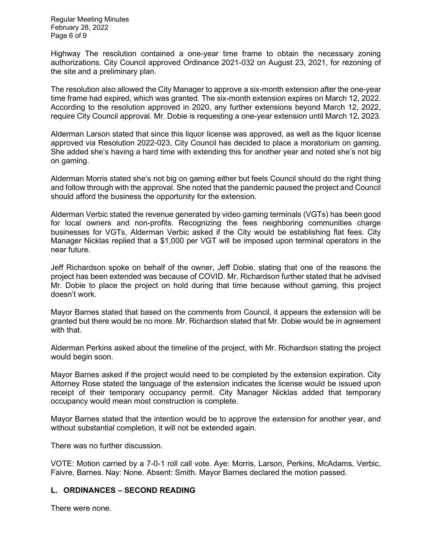Regular Meeting Minutes February 28, 2022 Page 6 of 9

Highway The resolution contained a one-year time frame to obtain the necessary zoning authorizations. City Council approved Ordinance 2021-032 on August 23, 2021, for rezoning of the site and a preliminary plan.

The resolution also allowed the City Manager to approve a six-month extension after the one-year time frame had expired, which was granted. The six-month extension expires on March 12, 2022. According to the resolution approved in 2020, any further extensions beyond March 12, 2022, require City Council approval. Mr. Dobie is requesting a one-year extension until March 12, 2023.

Alderman Larson stated that since this liquor license was approved, as well as the liquor license approved via Resolution 2022-023, City Council has decided to place a moratorium on gaming. She added she's having a hard time with extending this for another year and noted she's not big on gaming.

Alderman Morris stated she's not big on gaming either but feels Council should do the right thing and follow through with the approval. She noted that the pandemic paused the project and Council should afford the business the opportunity for the extension.

Alderman Verbic stated the revenue generated by video gaming terminals (VGTs) has been good for local owners and non-profits. Recognizing the fees neighboring communities charge businesses for VGTs, Alderman Verbic asked if the City would be establishing flat fees. City Manager Nicklas replied that a \$1,000 per VGT will be imposed upon terminal operators in the near future.

Jeff Richardson spoke on behalf of the owner, Jeff Dobie, stating that one of the reasons the project has been extended was because of COVID. Mr. Richardson further stated that he advised Mr. Dobie to place the project on hold during that time because without gaming, this project doesn't work.

Mayor Barnes stated that based on the comments from Council, it appears the extension will be granted but there would be no more. Mr. Richardson stated that Mr. Dobie would be in agreement with that.

Alderman Perkins asked about the timeline of the project, with Mr. Richardson stating the project would begin soon.

Mayor Barnes asked if the project would need to be completed by the extension expiration. City Attorney Rose stated the language of the extension indicates the license would be issued upon receipt of their temporary occupancy permit. City Manager Nicklas added that temporary occupancy would mean most construction is complete.

Mayor Barnes stated that the intention would be to approve the extension for another year, and without substantial completion, it will not be extended again.

There was no further discussion.

VOTE: Motion carried by a 7-0-1 roll call vote. Aye: Morris, Larson, Perkins, McAdams, Verbic, Faivre, Barnes. Nay: None. Absent: Smith. Mayor Barnes declared the motion passed.

## **L. ORDINANCES – SECOND READING**

There were none.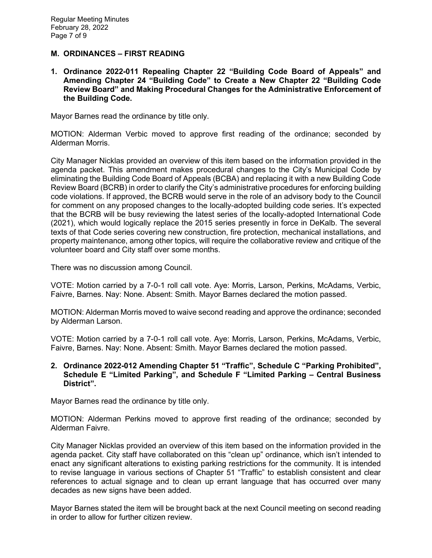### **M. ORDINANCES – FIRST READING**

**1. Ordinance 2022-011 Repealing Chapter 22 "Building Code Board of Appeals" and Amending Chapter 24 "Building Code" to Create a New Chapter 22 "Building Code Review Board" and Making Procedural Changes for the Administrative Enforcement of the Building Code.**

Mayor Barnes read the ordinance by title only.

MOTION: Alderman Verbic moved to approve first reading of the ordinance; seconded by Alderman Morris.

City Manager Nicklas provided an overview of this item based on the information provided in the agenda packet. This amendment makes procedural changes to the City's Municipal Code by eliminating the Building Code Board of Appeals (BCBA) and replacing it with a new Building Code Review Board (BCRB) in order to clarify the City's administrative procedures for enforcing building code violations. If approved, the BCRB would serve in the role of an advisory body to the Council for comment on any proposed changes to the locally-adopted building code series. It's expected that the BCRB will be busy reviewing the latest series of the locally-adopted International Code (2021), which would logically replace the 2015 series presently in force in DeKalb. The several texts of that Code series covering new construction, fire protection, mechanical installations, and property maintenance, among other topics, will require the collaborative review and critique of the volunteer board and City staff over some months.

There was no discussion among Council.

VOTE: Motion carried by a 7-0-1 roll call vote. Aye: Morris, Larson, Perkins, McAdams, Verbic, Faivre, Barnes. Nay: None. Absent: Smith. Mayor Barnes declared the motion passed.

MOTION: Alderman Morris moved to waive second reading and approve the ordinance; seconded by Alderman Larson.

VOTE: Motion carried by a 7-0-1 roll call vote. Aye: Morris, Larson, Perkins, McAdams, Verbic, Faivre, Barnes. Nay: None. Absent: Smith. Mayor Barnes declared the motion passed.

**2. Ordinance 2022-012 Amending Chapter 51 "Traffic", Schedule C "Parking Prohibited", Schedule E "Limited Parking", and Schedule F "Limited Parking – Central Business District".** 

Mayor Barnes read the ordinance by title only.

MOTION: Alderman Perkins moved to approve first reading of the ordinance; seconded by Alderman Faivre.

City Manager Nicklas provided an overview of this item based on the information provided in the agenda packet. City staff have collaborated on this "clean up" ordinance, which isn't intended to enact any significant alterations to existing parking restrictions for the community. It is intended to revise language in various sections of Chapter 51 "Traffic" to establish consistent and clear references to actual signage and to clean up errant language that has occurred over many decades as new signs have been added.

Mayor Barnes stated the item will be brought back at the next Council meeting on second reading in order to allow for further citizen review.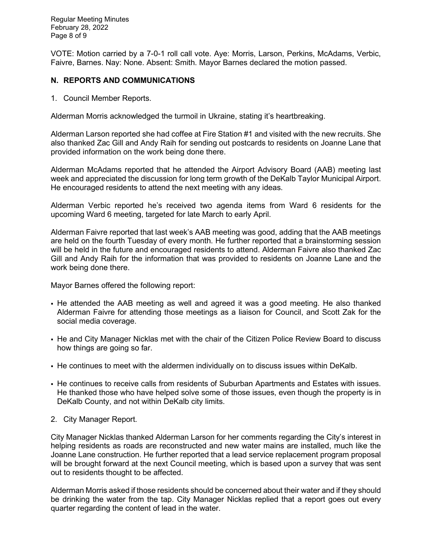Regular Meeting Minutes February 28, 2022 Page 8 of 9

VOTE: Motion carried by a 7-0-1 roll call vote. Aye: Morris, Larson, Perkins, McAdams, Verbic, Faivre, Barnes. Nay: None. Absent: Smith. Mayor Barnes declared the motion passed.

## **N. REPORTS AND COMMUNICATIONS**

1. Council Member Reports.

Alderman Morris acknowledged the turmoil in Ukraine, stating it's heartbreaking.

Alderman Larson reported she had coffee at Fire Station #1 and visited with the new recruits. She also thanked Zac Gill and Andy Raih for sending out postcards to residents on Joanne Lane that provided information on the work being done there.

Alderman McAdams reported that he attended the Airport Advisory Board (AAB) meeting last week and appreciated the discussion for long term growth of the DeKalb Taylor Municipal Airport. He encouraged residents to attend the next meeting with any ideas.

Alderman Verbic reported he's received two agenda items from Ward 6 residents for the upcoming Ward 6 meeting, targeted for late March to early April.

Alderman Faivre reported that last week's AAB meeting was good, adding that the AAB meetings are held on the fourth Tuesday of every month. He further reported that a brainstorming session will be held in the future and encouraged residents to attend. Alderman Faivre also thanked Zac Gill and Andy Raih for the information that was provided to residents on Joanne Lane and the work being done there.

Mayor Barnes offered the following report:

- He attended the AAB meeting as well and agreed it was a good meeting. He also thanked Alderman Faivre for attending those meetings as a liaison for Council, and Scott Zak for the social media coverage.
- He and City Manager Nicklas met with the chair of the Citizen Police Review Board to discuss how things are going so far.
- He continues to meet with the aldermen individually on to discuss issues within DeKalb.
- He continues to receive calls from residents of Suburban Apartments and Estates with issues. He thanked those who have helped solve some of those issues, even though the property is in DeKalb County, and not within DeKalb city limits.
- 2. City Manager Report.

City Manager Nicklas thanked Alderman Larson for her comments regarding the City's interest in helping residents as roads are reconstructed and new water mains are installed, much like the Joanne Lane construction. He further reported that a lead service replacement program proposal will be brought forward at the next Council meeting, which is based upon a survey that was sent out to residents thought to be affected.

Alderman Morris asked if those residents should be concerned about their water and if they should be drinking the water from the tap. City Manager Nicklas replied that a report goes out every quarter regarding the content of lead in the water.